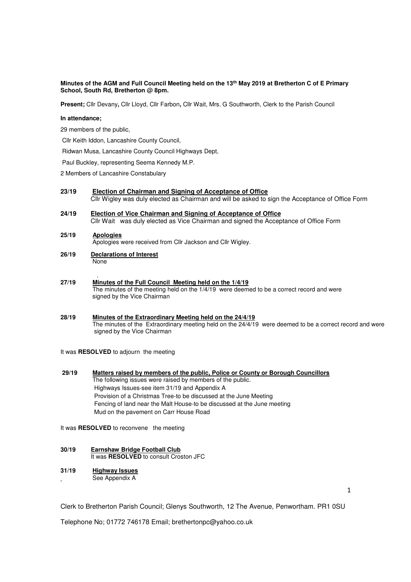## **Minutes of the AGM and Full Council Meeting held on the 13th May 2019 at Bretherton C of E Primary School, South Rd, Bretherton @ 8pm.**

**Present;** Cllr Devany**,** Cllr Lloyd, Cllr Farbon**,** Cllr Wait, Mrs. G Southworth, Clerk to the Parish Council

#### **In attendance;**

29 members of the public,

Cllr Keith Iddon, Lancashire County Council,

Ridwan Musa, Lancashire County Council Highways Dept,

Paul Buckley, representing Seema Kennedy M.P.

2 Members of Lancashire Constabulary

- **23/19 Election of Chairman and Signing of Acceptance of Office**  Cllr Wigley was duly elected as Chairman and will be asked to sign the Acceptance of Office Form
- **24/19 Election of Vice Chairman and Signing of Acceptance of Office**  Cllr Wait was duly elected as Vice Chairman and signed the Acceptance of Office Form

#### **25/19 Apologies**

Apologies were received from Cllr Jackson and Cllr Wigley.

- **26/19 Declarations of Interest** None
- . **27/19 Minutes of the Full Council Meeting held on the 1/4/19**  The minutes of the meeting held on the 1/4/19 were deemed to be a correct record and were signed by the Vice Chairman

## **28/19 Minutes of the Extraordinary Meeting held on the 24/4/19** The minutes of the Extraordinary meeting held on the 24/4/19 were deemed to be a correct record and were signed by the Vice Chairman

It was **RESOLVED** to adjourn the meeting

 **29/19 Matters raised by members of the public, Police or County or Borough Councillors**  The following issues were raised by members of the public. Highways Issues-see item 31/19 and Appendix A Provision of a Christmas Tree-to be discussed at the June Meeting Fencing of land near the Malt House-to be discussed at the June meeting Mud on the pavement on Carr House Road

It was **RESOLVED** to reconvene the meeting

- **30/19 Earnshaw Bridge Football Club** It was **RESOLVED** to consult Croston JFC
- **31/19 Highway Issues**  See Appendix A

1

Clerk to Bretherton Parish Council; Glenys Southworth, 12 The Avenue, Penwortham. PR1 0SU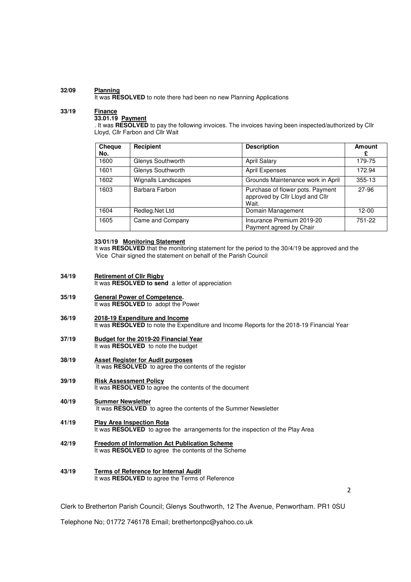## **32/09 Planning**

It was **RESOLVED** to note there had been no new Planning Applications

# **33/19 Finance**

# **33.01.19 Payment**

. It was **RESOLVED** to pay the following invoices. The invoices having been inspected/authorized by Cllr Lloyd, Cllr Farbon and Cllr Wait

| <b>Cheque</b><br>No. | <b>Recipient</b>    | <b>Description</b>                                                           | <b>Amount</b> |
|----------------------|---------------------|------------------------------------------------------------------------------|---------------|
| 1600                 | Glenys Southworth   | April Salary                                                                 | 179-75        |
| 1601                 | Glenys Southworth   | April Expenses                                                               | 172.94        |
| 1602                 | Wignalls Landscapes | Grounds Maintenance work in April                                            | 355-13        |
| 1603                 | Barbara Farbon      | Purchase of flower pots. Payment<br>approved by Cllr Lloyd and Cllr<br>Wait. | 27-96         |
| 1604                 | Redleg.Net Ltd      | Domain Management                                                            | 12-00         |
| 1605                 | Came and Company    | Insurance Premium 2019-20<br>Payment agreed by Chair                         | 751-22        |

# **33/01/19 Monitoring Statement**

It was **RESOLVED** that the monitoring statement for the period to the 30/4/19 be approved and the Vice Chair signed the statement on behalf of the Parish Council

- **34/19 Retirement of Cllr Rigby** It was **RESOLVED to send** a letter of appreciation
- **35/19 General Power of Competence.**  It was **RESOLVED** to adopt the Power
- **36/19 2018-19 Expenditure and Income**  It was **RESOLVED** to note the Expenditure and Income Reports for the 2018-19 Financial Year
- **37/19 Budget for the 2019-20 Financial Year**  It was **RESOLVED** to note the budget
- **38/19 Asset Register for Audit purposes**  It was **RESOLVED** to agree the contents of the register
- **39/19 Risk Assessment Policy**  It was **RESOLVED** to agree the contents of the document
- **40/19 Summer Newsletter**  It was RESOLVED to agree the contents of the Summer Newsletter
- **41/19 Play Area Inspection Rota**  It was **RESOLVED** to agree the arrangements for the inspection of the Play Area
- **42/19 Freedom of Information Act Publication Scheme**  It was **RESOLVED** to agree the contents of the Scheme
- **43/19 Terms of Reference for Internal Audit**  It was **RESOLVED** to agree the Terms of Reference

2

Clerk to Bretherton Parish Council; Glenys Southworth, 12 The Avenue, Penwortham. PR1 0SU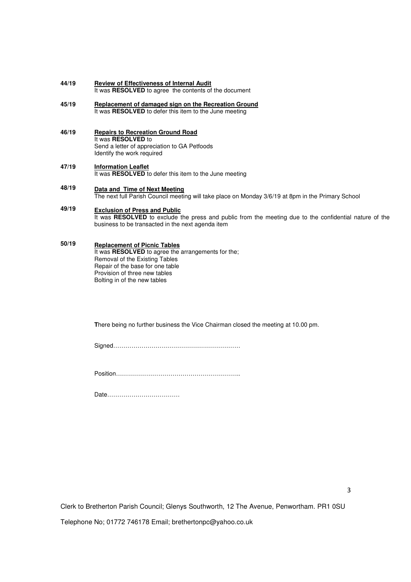- **44/19 Review of Effectiveness of Internal Audit**  It was **RESOLVED** to agree the contents of the document
- **45/19 Replacement of damaged sign on the Recreation Ground**  It was **RESOLVED** to defer this item to the June meeting
- **46/19 Repairs to Recreation Ground Road**  It was **RESOLVED** to Send a letter of appreciation to GA Petfoods Identify the work required
- **47/19 Information Leaflet**  It was **RESOLVED** to defer this item to the June meeting
- **48/19 Data and Time of Next Meeting**  The next full Parish Council meeting will take place on Monday 3/6/19 at 8pm in the Primary School
- **49/19 Exclusion of Press and Public**  It was **RESOLVED** to exclude the press and public from the meeting due to the confidential nature of the business to be transacted in the next agenda item

#### **50/19 Replacement of Picnic Tables**

It was **RESOLVED** to agree the arrangements for the; Removal of the Existing Tables Repair of the base for one table Provision of three new tables Bolting in of the new tables

**T**here being no further business the Vice Chairman closed the meeting at 10.00 pm.

Signed………………………………………………………

Position……………………………………………………..

Date………………………………

3

Clerk to Bretherton Parish Council; Glenys Southworth, 12 The Avenue, Penwortham. PR1 0SU